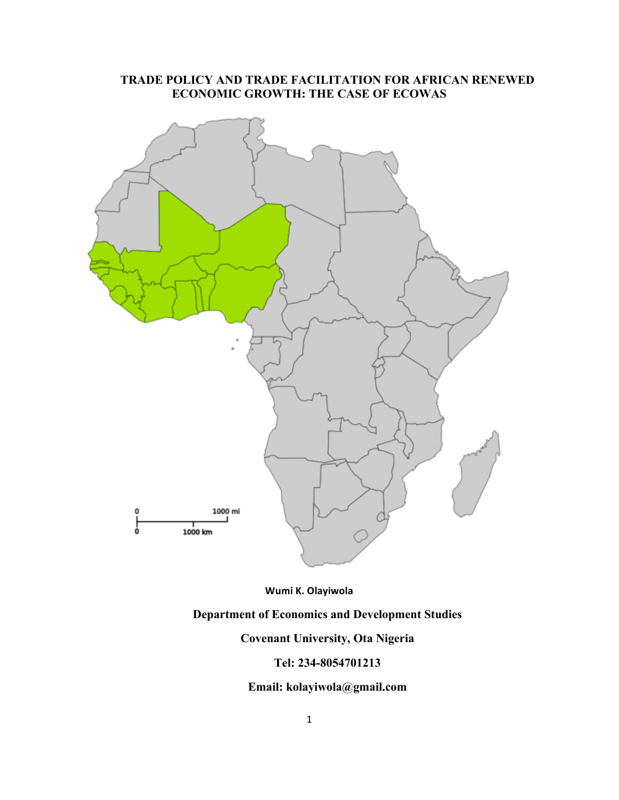# **TRADE POLICY AND TRADE FACILITATION FOR AFRICAN RENEWED ECONOMIC GROWTH: THE CASE OF ECOWAS**



#### Wumi K. Olayiwola

# **Department of Economics and Development Studies**

## **Covenant University, Ota Nigeria**

## **Tel: 234-8054701213**

# **Email: kolayiwola@gmail.com**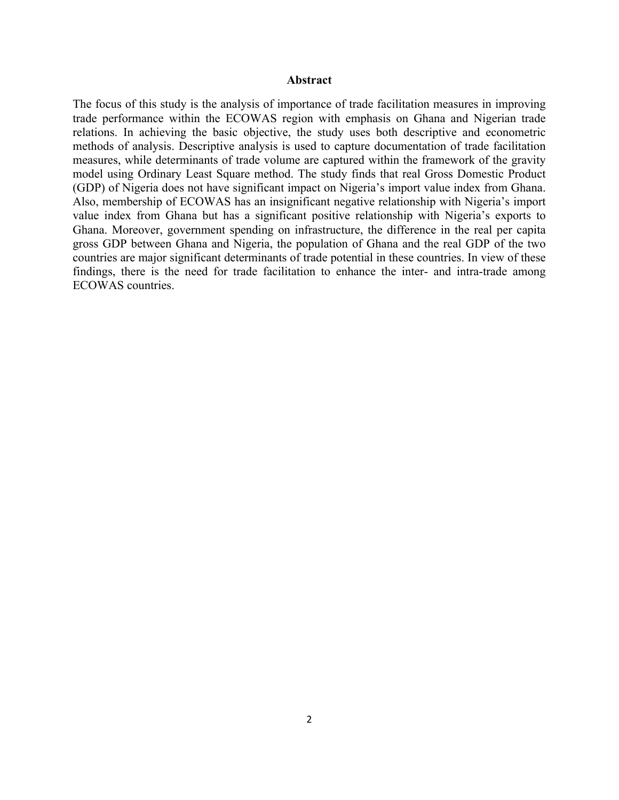#### **Abstract**

The focus of this study is the analysis of importance of trade facilitation measures in improving trade performance within the ECOWAS region with emphasis on Ghana and Nigerian trade relations. In achieving the basic objective, the study uses both descriptive and econometric methods of analysis. Descriptive analysis is used to capture documentation of trade facilitation measures, while determinants of trade volume are captured within the framework of the gravity model using Ordinary Least Square method. The study finds that real Gross Domestic Product (GDP) of Nigeria does not have significant impact on Nigeria's import value index from Ghana. Also, membership of ECOWAS has an insignificant negative relationship with Nigeria's import value index from Ghana but has a significant positive relationship with Nigeria's exports to Ghana. Moreover, government spending on infrastructure, the difference in the real per capita gross GDP between Ghana and Nigeria, the population of Ghana and the real GDP of the two countries are major significant determinants of trade potential in these countries. In view of these findings, there is the need for trade facilitation to enhance the inter- and intra-trade among ECOWAS countries.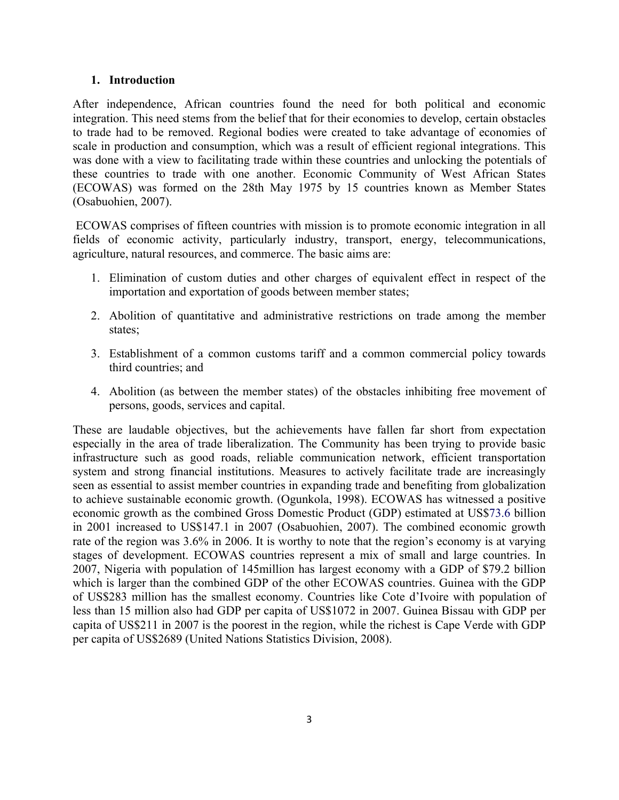## **1. Introduction**

After independence, African countries found the need for both political and economic integration. This need stems from the belief that for their economies to develop, certain obstacles to trade had to be removed. Regional bodies were created to take advantage of economies of scale in production and consumption, which was a result of efficient regional integrations. This was done with a view to facilitating trade within these countries and unlocking the potentials of these countries to trade with one another. Economic Community of West African States (ECOWAS) was formed on the 28th May 1975 by 15 countries known as Member States (Osabuohien, 2007).

ECOWAS comprises of fifteen countries with mission is to promote economic integration in all fields of economic activity, particularly industry, transport, energy, telecommunications, agriculture, natural resources, and commerce. The basic aims are:

- 1. Elimination of custom duties and other charges of equivalent effect in respect of the importation and exportation of goods between member states;
- 2. Abolition of quantitative and administrative restrictions on trade among the member states;
- 3. Establishment of a common customs tariff and a common commercial policy towards third countries; and
- 4. Abolition (as between the member states) of the obstacles inhibiting free movement of persons, goods, services and capital.

These are laudable objectives, but the achievements have fallen far short from expectation especially in the area of trade liberalization. The Community has been trying to provide basic infrastructure such as good roads, reliable communication network, efficient transportation system and strong financial institutions. Measures to actively facilitate trade are increasingly seen as essential to assist member countries in expanding trade and benefiting from globalization to achieve sustainable economic growth. (Ogunkola, 1998). ECOWAS has witnessed a positive economic growth as the combined Gross Domestic Product (GDP) estimated at US\$73.6 billion in 2001 increased to US\$147.1 in 2007 (Osabuohien, 2007). The combined economic growth rate of the region was 3.6% in 2006. It is worthy to note that the region's economy is at varying stages of development. ECOWAS countries represent a mix of small and large countries. In 2007, Nigeria with population of 145million has largest economy with a GDP of \$79.2 billion which is larger than the combined GDP of the other ECOWAS countries. Guinea with the GDP of US\$283 million has the smallest economy. Countries like Cote d'Ivoire with population of less than 15 million also had GDP per capita of US\$1072 in 2007. Guinea Bissau with GDP per capita of US\$211 in 2007 is the poorest in the region, while the richest is Cape Verde with GDP per capita of US\$2689 (United Nations Statistics Division, 2008).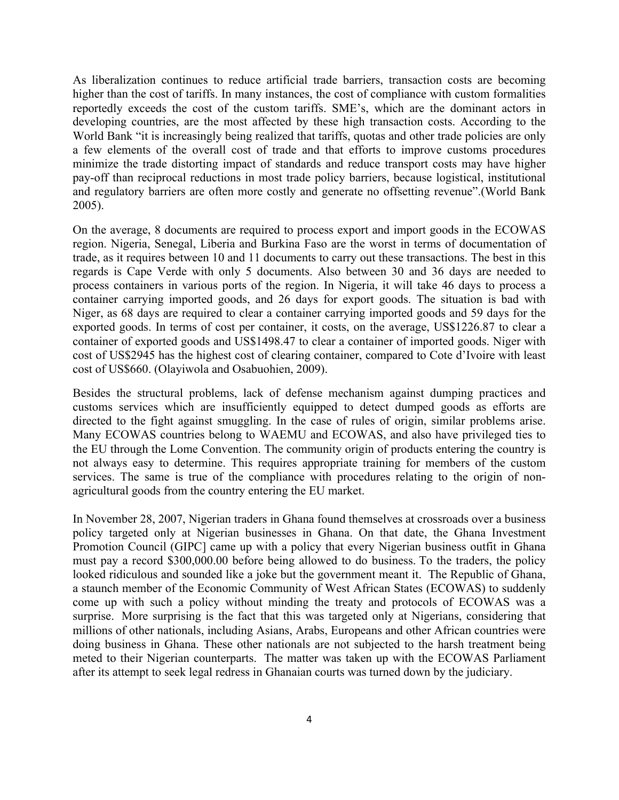As liberalization continues to reduce artificial trade barriers, transaction costs are becoming higher than the cost of tariffs. In many instances, the cost of compliance with custom formalities reportedly exceeds the cost of the custom tariffs. SME's, which are the dominant actors in developing countries, are the most affected by these high transaction costs. According to the World Bank "it is increasingly being realized that tariffs, quotas and other trade policies are only a few elements of the overall cost of trade and that efforts to improve customs procedures minimize the trade distorting impact of standards and reduce transport costs may have higher pay-off than reciprocal reductions in most trade policy barriers, because logistical, institutional and regulatory barriers are often more costly and generate no offsetting revenue".(World Bank 2005).

On the average, 8 documents are required to process export and import goods in the ECOWAS region. Nigeria, Senegal, Liberia and Burkina Faso are the worst in terms of documentation of trade, as it requires between 10 and 11 documents to carry out these transactions. The best in this regards is Cape Verde with only 5 documents. Also between 30 and 36 days are needed to process containers in various ports of the region. In Nigeria, it will take 46 days to process a container carrying imported goods, and 26 days for export goods. The situation is bad with Niger, as 68 days are required to clear a container carrying imported goods and 59 days for the exported goods. In terms of cost per container, it costs, on the average, US\$1226.87 to clear a container of exported goods and US\$1498.47 to clear a container of imported goods. Niger with cost of US\$2945 has the highest cost of clearing container, compared to Cote d'Ivoire with least cost of US\$660. (Olayiwola and Osabuohien, 2009).

Besides the structural problems, lack of defense mechanism against dumping practices and customs services which are insufficiently equipped to detect dumped goods as efforts are directed to the fight against smuggling. In the case of rules of origin, similar problems arise. Many ECOWAS countries belong to WAEMU and ECOWAS, and also have privileged ties to the EU through the Lome Convention. The community origin of products entering the country is not always easy to determine. This requires appropriate training for members of the custom services. The same is true of the compliance with procedures relating to the origin of nonagricultural goods from the country entering the EU market.

In November 28, 2007, Nigerian traders in Ghana found themselves at crossroads over a business policy targeted only at Nigerian businesses in Ghana. On that date, the Ghana Investment Promotion Council (GIPC] came up with a policy that every Nigerian business outfit in Ghana must pay a record \$300,000.00 before being allowed to do business. To the traders, the policy looked ridiculous and sounded like a joke but the government meant it. The Republic of Ghana, a staunch member of the Economic Community of West African States (ECOWAS) to suddenly come up with such a policy without minding the treaty and protocols of ECOWAS was a surprise. More surprising is the fact that this was targeted only at Nigerians, considering that millions of other nationals, including Asians, Arabs, Europeans and other African countries were doing business in Ghana. These other nationals are not subjected to the harsh treatment being meted to their Nigerian counterparts. The matter was taken up with the ECOWAS Parliament after its attempt to seek legal redress in Ghanaian courts was turned down by the judiciary.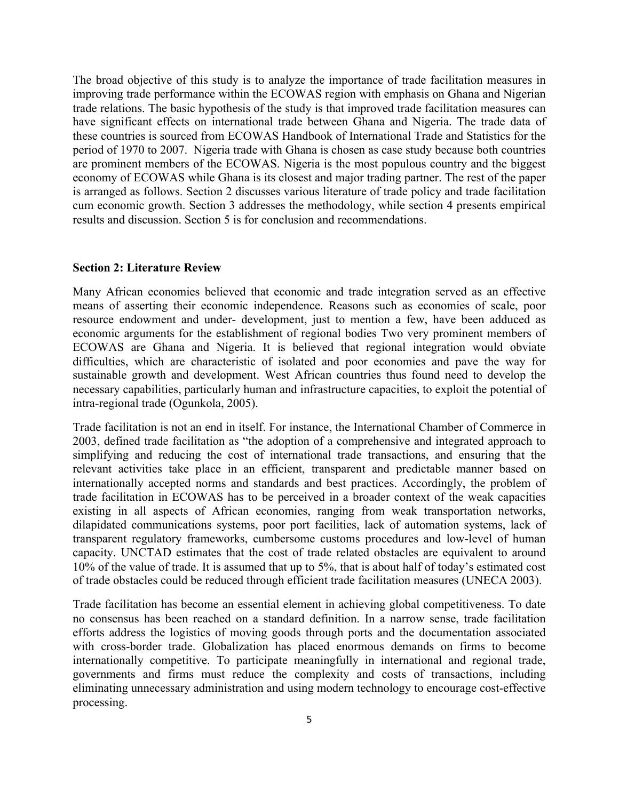The broad objective of this study is to analyze the importance of trade facilitation measures in improving trade performance within the ECOWAS region with emphasis on Ghana and Nigerian trade relations. The basic hypothesis of the study is that improved trade facilitation measures can have significant effects on international trade between Ghana and Nigeria. The trade data of these countries is sourced from ECOWAS Handbook of International Trade and Statistics for the period of 1970 to 2007. Nigeria trade with Ghana is chosen as case study because both countries are prominent members of the ECOWAS. Nigeria is the most populous country and the biggest economy of ECOWAS while Ghana is its closest and major trading partner. The rest of the paper is arranged as follows. Section 2 discusses various literature of trade policy and trade facilitation cum economic growth. Section 3 addresses the methodology, while section 4 presents empirical results and discussion. Section 5 is for conclusion and recommendations.

#### **Section 2: Literature Review**

Many African economies believed that economic and trade integration served as an effective means of asserting their economic independence. Reasons such as economies of scale, poor resource endowment and under- development, just to mention a few, have been adduced as economic arguments for the establishment of regional bodies Two very prominent members of ECOWAS are Ghana and Nigeria. It is believed that regional integration would obviate difficulties, which are characteristic of isolated and poor economies and pave the way for sustainable growth and development. West African countries thus found need to develop the necessary capabilities, particularly human and infrastructure capacities, to exploit the potential of intra-regional trade (Ogunkola, 2005).

Trade facilitation is not an end in itself. For instance, the International Chamber of Commerce in 2003, defined trade facilitation as "the adoption of a comprehensive and integrated approach to simplifying and reducing the cost of international trade transactions, and ensuring that the relevant activities take place in an efficient, transparent and predictable manner based on internationally accepted norms and standards and best practices. Accordingly, the problem of trade facilitation in ECOWAS has to be perceived in a broader context of the weak capacities existing in all aspects of African economies, ranging from weak transportation networks, dilapidated communications systems, poor port facilities, lack of automation systems, lack of transparent regulatory frameworks, cumbersome customs procedures and low-level of human capacity. UNCTAD estimates that the cost of trade related obstacles are equivalent to around 10% of the value of trade. It is assumed that up to 5%, that is about half of today's estimated cost of trade obstacles could be reduced through efficient trade facilitation measures (UNECA 2003).

Trade facilitation has become an essential element in achieving global competitiveness. To date no consensus has been reached on a standard definition. In a narrow sense, trade facilitation efforts address the logistics of moving goods through ports and the documentation associated with cross-border trade. Globalization has placed enormous demands on firms to become internationally competitive. To participate meaningfully in international and regional trade, governments and firms must reduce the complexity and costs of transactions, including eliminating unnecessary administration and using modern technology to encourage cost-effective processing.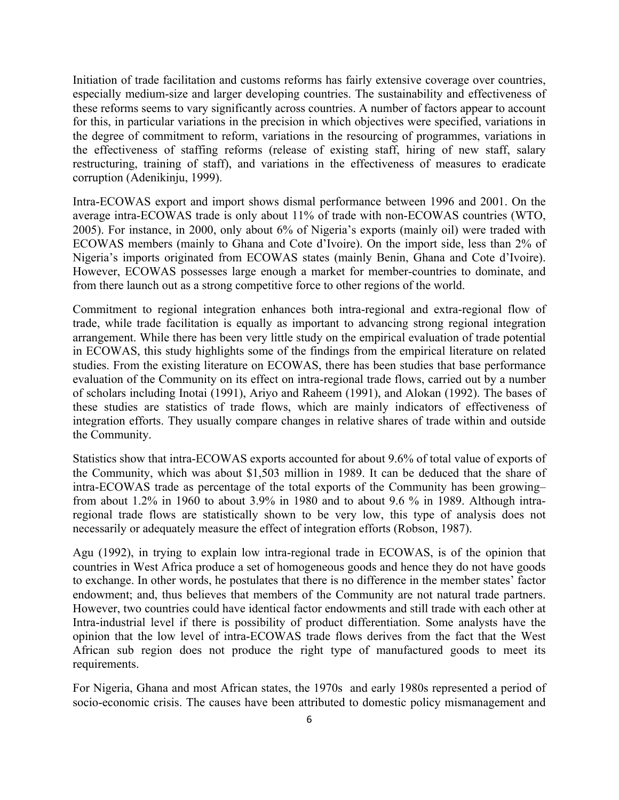Initiation of trade facilitation and customs reforms has fairly extensive coverage over countries, especially medium-size and larger developing countries. The sustainability and effectiveness of these reforms seems to vary significantly across countries. A number of factors appear to account for this, in particular variations in the precision in which objectives were specified, variations in the degree of commitment to reform, variations in the resourcing of programmes, variations in the effectiveness of staffing reforms (release of existing staff, hiring of new staff, salary restructuring, training of staff), and variations in the effectiveness of measures to eradicate corruption (Adenikinju, 1999).

Intra-ECOWAS export and import shows dismal performance between 1996 and 2001. On the average intra-ECOWAS trade is only about 11% of trade with non-ECOWAS countries (WTO, 2005). For instance, in 2000, only about 6% of Nigeria's exports (mainly oil) were traded with ECOWAS members (mainly to Ghana and Cote d'Ivoire). On the import side, less than 2% of Nigeria's imports originated from ECOWAS states (mainly Benin, Ghana and Cote d'Ivoire). However, ECOWAS possesses large enough a market for member-countries to dominate, and from there launch out as a strong competitive force to other regions of the world.

Commitment to regional integration enhances both intra-regional and extra-regional flow of trade, while trade facilitation is equally as important to advancing strong regional integration arrangement. While there has been very little study on the empirical evaluation of trade potential in ECOWAS, this study highlights some of the findings from the empirical literature on related studies. From the existing literature on ECOWAS, there has been studies that base performance evaluation of the Community on its effect on intra-regional trade flows, carried out by a number of scholars including Inotai (1991), Ariyo and Raheem (1991), and Alokan (1992). The bases of these studies are statistics of trade flows, which are mainly indicators of effectiveness of integration efforts. They usually compare changes in relative shares of trade within and outside the Community.

Statistics show that intra-ECOWAS exports accounted for about 9.6% of total value of exports of the Community, which was about \$1,503 million in 1989. It can be deduced that the share of intra-ECOWAS trade as percentage of the total exports of the Community has been growing– from about 1.2% in 1960 to about 3.9% in 1980 and to about 9.6 % in 1989. Although intraregional trade flows are statistically shown to be very low, this type of analysis does not necessarily or adequately measure the effect of integration efforts (Robson, 1987).

Agu (1992), in trying to explain low intra-regional trade in ECOWAS, is of the opinion that countries in West Africa produce a set of homogeneous goods and hence they do not have goods to exchange. In other words, he postulates that there is no difference in the member states' factor endowment; and, thus believes that members of the Community are not natural trade partners. However, two countries could have identical factor endowments and still trade with each other at Intra-industrial level if there is possibility of product differentiation. Some analysts have the opinion that the low level of intra-ECOWAS trade flows derives from the fact that the West African sub region does not produce the right type of manufactured goods to meet its requirements.

For Nigeria, Ghana and most African states, the 1970s and early 1980s represented a period of socio-economic crisis. The causes have been attributed to domestic policy mismanagement and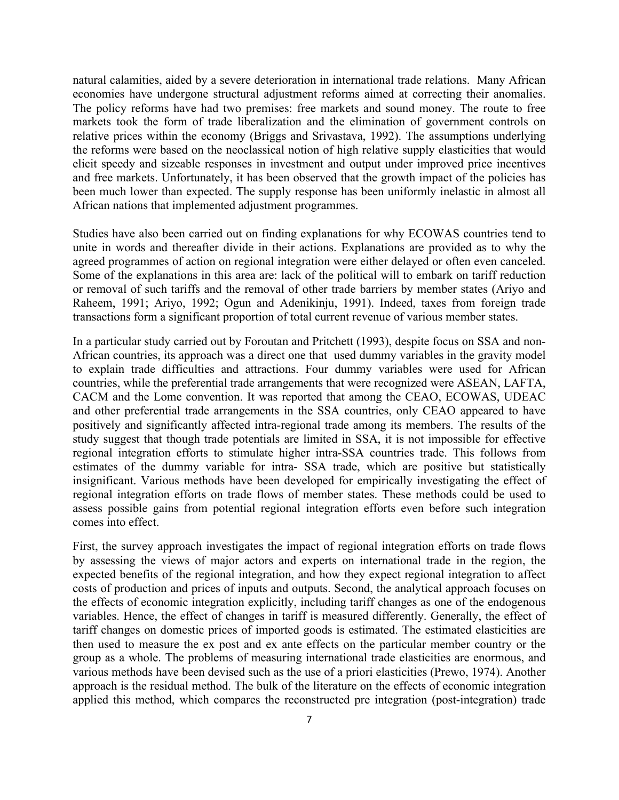natural calamities, aided by a severe deterioration in international trade relations. Many African economies have undergone structural adjustment reforms aimed at correcting their anomalies. The policy reforms have had two premises: free markets and sound money. The route to free markets took the form of trade liberalization and the elimination of government controls on relative prices within the economy (Briggs and Srivastava, 1992). The assumptions underlying the reforms were based on the neoclassical notion of high relative supply elasticities that would elicit speedy and sizeable responses in investment and output under improved price incentives and free markets. Unfortunately, it has been observed that the growth impact of the policies has been much lower than expected. The supply response has been uniformly inelastic in almost all African nations that implemented adjustment programmes.

Studies have also been carried out on finding explanations for why ECOWAS countries tend to unite in words and thereafter divide in their actions. Explanations are provided as to why the agreed programmes of action on regional integration were either delayed or often even canceled. Some of the explanations in this area are: lack of the political will to embark on tariff reduction or removal of such tariffs and the removal of other trade barriers by member states (Ariyo and Raheem, 1991; Ariyo, 1992; Ogun and Adenikinju, 1991). Indeed, taxes from foreign trade transactions form a significant proportion of total current revenue of various member states.

In a particular study carried out by Foroutan and Pritchett (1993), despite focus on SSA and non-African countries, its approach was a direct one that used dummy variables in the gravity model to explain trade difficulties and attractions. Four dummy variables were used for African countries, while the preferential trade arrangements that were recognized were ASEAN, LAFTA, CACM and the Lome convention. It was reported that among the CEAO, ECOWAS, UDEAC and other preferential trade arrangements in the SSA countries, only CEAO appeared to have positively and significantly affected intra-regional trade among its members. The results of the study suggest that though trade potentials are limited in SSA, it is not impossible for effective regional integration efforts to stimulate higher intra-SSA countries trade. This follows from estimates of the dummy variable for intra- SSA trade, which are positive but statistically insignificant. Various methods have been developed for empirically investigating the effect of regional integration efforts on trade flows of member states. These methods could be used to assess possible gains from potential regional integration efforts even before such integration comes into effect.

First, the survey approach investigates the impact of regional integration efforts on trade flows by assessing the views of major actors and experts on international trade in the region, the expected benefits of the regional integration, and how they expect regional integration to affect costs of production and prices of inputs and outputs. Second, the analytical approach focuses on the effects of economic integration explicitly, including tariff changes as one of the endogenous variables. Hence, the effect of changes in tariff is measured differently. Generally, the effect of tariff changes on domestic prices of imported goods is estimated. The estimated elasticities are then used to measure the ex post and ex ante effects on the particular member country or the group as a whole. The problems of measuring international trade elasticities are enormous, and various methods have been devised such as the use of a priori elasticities (Prewo, 1974). Another approach is the residual method. The bulk of the literature on the effects of economic integration applied this method, which compares the reconstructed pre integration (post-integration) trade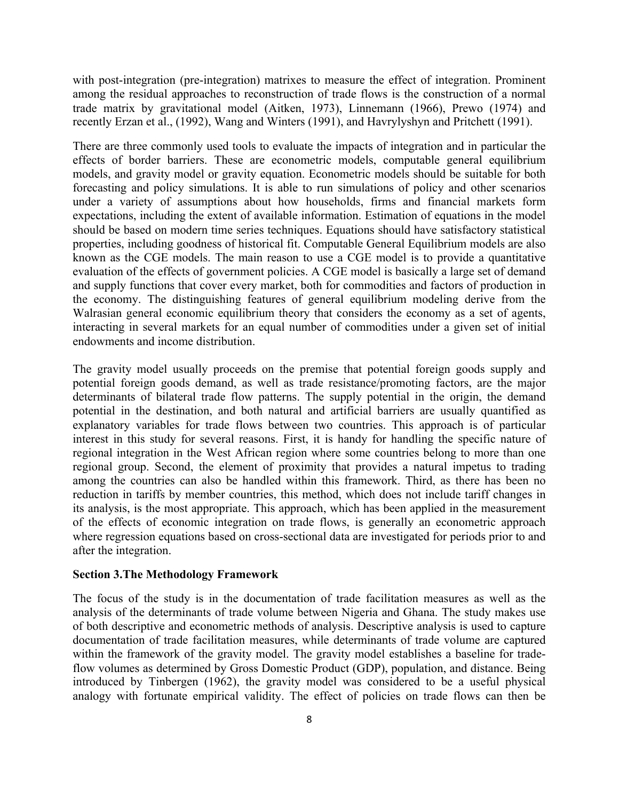with post-integration (pre-integration) matrixes to measure the effect of integration. Prominent among the residual approaches to reconstruction of trade flows is the construction of a normal trade matrix by gravitational model (Aitken, 1973), Linnemann (1966), Prewo (1974) and recently Erzan et al., (1992), Wang and Winters (1991), and Havrylyshyn and Pritchett (1991).

There are three commonly used tools to evaluate the impacts of integration and in particular the effects of border barriers. These are econometric models, computable general equilibrium models, and gravity model or gravity equation. Econometric models should be suitable for both forecasting and policy simulations. It is able to run simulations of policy and other scenarios under a variety of assumptions about how households, firms and financial markets form expectations, including the extent of available information. Estimation of equations in the model should be based on modern time series techniques. Equations should have satisfactory statistical properties, including goodness of historical fit. Computable General Equilibrium models are also known as the CGE models. The main reason to use a CGE model is to provide a quantitative evaluation of the effects of government policies. A CGE model is basically a large set of demand and supply functions that cover every market, both for commodities and factors of production in the economy. The distinguishing features of general equilibrium modeling derive from the Walrasian general economic equilibrium theory that considers the economy as a set of agents, interacting in several markets for an equal number of commodities under a given set of initial endowments and income distribution.

The gravity model usually proceeds on the premise that potential foreign goods supply and potential foreign goods demand, as well as trade resistance/promoting factors, are the major determinants of bilateral trade flow patterns. The supply potential in the origin, the demand potential in the destination, and both natural and artificial barriers are usually quantified as explanatory variables for trade flows between two countries. This approach is of particular interest in this study for several reasons. First, it is handy for handling the specific nature of regional integration in the West African region where some countries belong to more than one regional group. Second, the element of proximity that provides a natural impetus to trading among the countries can also be handled within this framework. Third, as there has been no reduction in tariffs by member countries, this method, which does not include tariff changes in its analysis, is the most appropriate. This approach, which has been applied in the measurement of the effects of economic integration on trade flows, is generally an econometric approach where regression equations based on cross-sectional data are investigated for periods prior to and after the integration.

#### **Section 3.The Methodology Framework**

The focus of the study is in the documentation of trade facilitation measures as well as the analysis of the determinants of trade volume between Nigeria and Ghana. The study makes use of both descriptive and econometric methods of analysis. Descriptive analysis is used to capture documentation of trade facilitation measures, while determinants of trade volume are captured within the framework of the gravity model. The gravity model establishes a baseline for tradeflow volumes as determined by Gross Domestic Product (GDP), population, and distance. Being introduced by Tinbergen (1962), the gravity model was considered to be a useful physical analogy with fortunate empirical validity. The effect of policies on trade flows can then be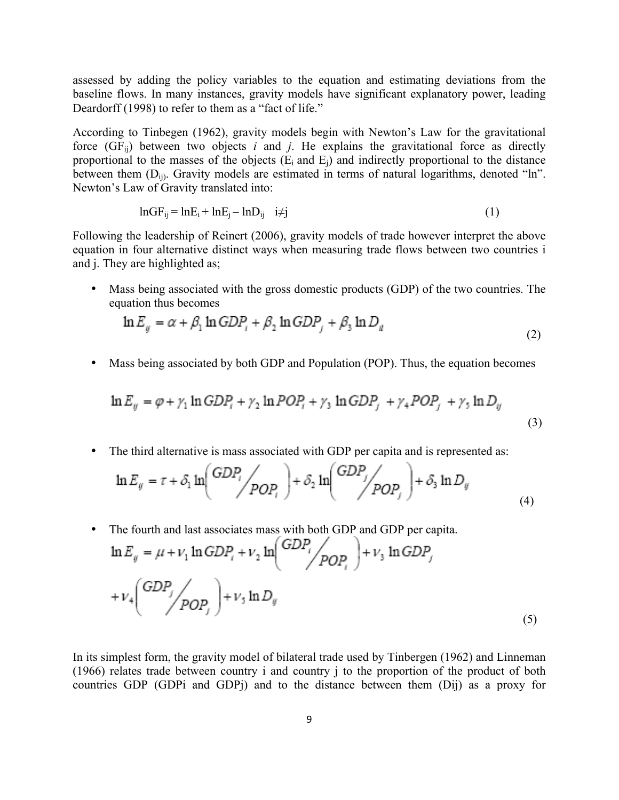assessed by adding the policy variables to the equation and estimating deviations from the baseline flows. In many instances, gravity models have significant explanatory power, leading Deardorff (1998) to refer to them as a "fact of life."

According to Tinbegen (1962), gravity models begin with Newton's Law for the gravitational force  $(GF_{ii})$  between two objects *i* and *j*. He explains the gravitational force as directly proportional to the masses of the objects  $(E_i \text{ and } E_j)$  and indirectly proportional to the distance between them  $(D_{ii})$ . Gravity models are estimated in terms of natural logarithms, denoted "ln". Newton's Law of Gravity translated into:

$$
lnGF_{ij} = lnE_i + lnE_j - lnD_{ij} \quad i \neq j \tag{1}
$$

Following the leadership of Reinert (2006), gravity models of trade however interpret the above equation in four alternative distinct ways when measuring trade flows between two countries i and j. They are highlighted as;

• Mass being associated with the gross domestic products (GDP) of the two countries. The equation thus becomes

$$
\ln E_y = \alpha + \beta_1 \ln GDP_r + \beta_2 \ln GDP_j + \beta_3 \ln D_y \tag{2}
$$

• Mass being associated by both GDP and Population (POP). Thus, the equation becomes

$$
\ln E_y = \varphi + \gamma_1 \ln GDP_i + \gamma_2 \ln POP_i + \gamma_3 \ln GDP_j + \gamma_4 POP_j + \gamma_5 \ln D_y
$$
\n(3)

• The third alternative is mass associated with GDP per capita and is represented as:

$$
\ln E_y = \tau + \delta_1 \ln \left( \frac{GDP_i}{POP_i} \right) + \delta_2 \ln \left( \frac{GDP_j}{POP_j} \right) + \delta_3 \ln D_y \tag{4}
$$

• The fourth and last associates mass with both GDP and GDP per capita.<br>  $\ln E_g = \mu + v_1 \ln GDP_f + v_2 \ln \left( \frac{GDP_f}{POP_f} \right) + v_3 \ln GDP_f$  $+v_4\left(\frac{GDP_f}{POP_c}\right)+v_5\ln D_g$ (5)

In its simplest form, the gravity model of bilateral trade used by Tinbergen (1962) and Linneman (1966) relates trade between country i and country j to the proportion of the product of both countries GDP (GDPi and GDPj) and to the distance between them (Dij) as a proxy for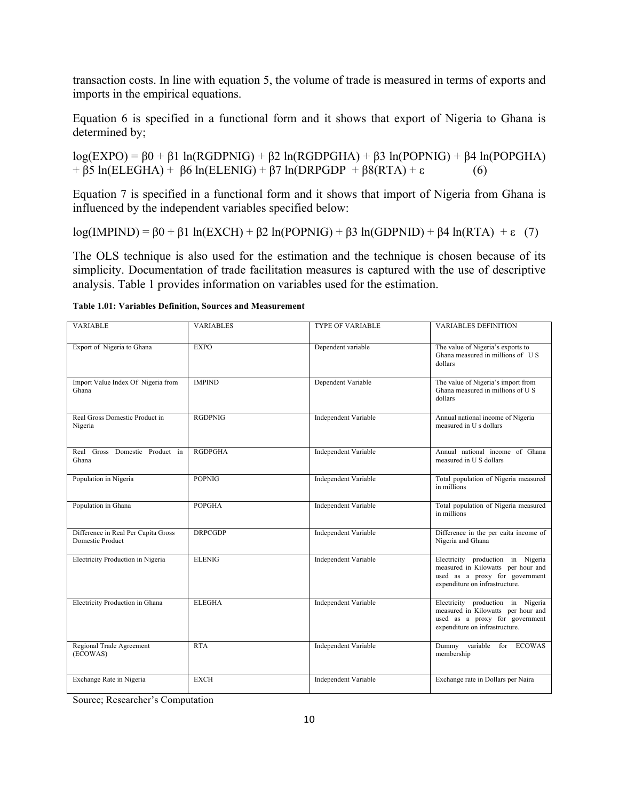transaction costs. In line with equation 5, the volume of trade is measured in terms of exports and imports in the empirical equations.

Equation 6 is specified in a functional form and it shows that export of Nigeria to Ghana is determined by;

log(EXPO) = β0 + β1 ln(RGDPNIG) + β2 ln(RGDPGHA) + β3 ln(POPNIG) + β4 ln(POPGHA) + β5 ln(ELEGHA) + β6 ln(ELENIG) + β7 ln(DRPGDP + β8(RTA) + ε (6)

Equation 7 is specified in a functional form and it shows that import of Nigeria from Ghana is influenced by the independent variables specified below:

log(IMPIND) = β0 + β1 ln(EXCH) + β2 ln(POPNIG) + β3 ln(GDPNID) + β4 ln(RTA) + ε (7)

The OLS technique is also used for the estimation and the technique is chosen because of its simplicity. Documentation of trade facilitation measures is captured with the use of descriptive analysis. Table 1 provides information on variables used for the estimation.

| <b>VARIABLE</b>                                                | <b>VARIABLES</b> | <b>TYPE OF VARIABLE</b>     | <b>VARIABLES DEFINITION</b>                                                                                                                 |
|----------------------------------------------------------------|------------------|-----------------------------|---------------------------------------------------------------------------------------------------------------------------------------------|
|                                                                |                  |                             |                                                                                                                                             |
| Export of Nigeria to Ghana                                     | <b>EXPO</b>      | Dependent variable          | The value of Nigeria's exports to<br>Ghana measured in millions of US<br>dollars                                                            |
| Import Value Index Of Nigeria from<br>Ghana                    | <b>IMPIND</b>    | Dependent Variable          | The value of Nigeria's import from<br>Ghana measured in millions of U.S.<br>dollars                                                         |
| Real Gross Domestic Product in<br>Nigeria                      | <b>RGDPNIG</b>   | <b>Independent Variable</b> | Annual national income of Nigeria<br>measured in U s dollars                                                                                |
| Real Gross Domestic Product in<br>Ghana                        | <b>RGDPGHA</b>   | Independent Variable        | Annual national income of Ghana<br>measured in U S dollars                                                                                  |
| Population in Nigeria                                          | <b>POPNIG</b>    | <b>Independent Variable</b> | Total population of Nigeria measured<br>in millions                                                                                         |
| Population in Ghana                                            | <b>POPGHA</b>    | <b>Independent Variable</b> | Total population of Nigeria measured<br>in millions                                                                                         |
| Difference in Real Per Capita Gross<br><b>Domestic Product</b> | <b>DRPCGDP</b>   | <b>Independent Variable</b> | Difference in the per caita income of<br>Nigeria and Ghana                                                                                  |
| Electricity Production in Nigeria                              | <b>ELENIG</b>    | Independent Variable        | Electricity production in Nigeria<br>measured in Kilowatts per hour and<br>used as a proxy for government<br>expenditure on infrastructure. |
| Electricity Production in Ghana                                | <b>ELEGHA</b>    | <b>Independent Variable</b> | Electricity production in Nigeria<br>measured in Kilowatts per hour and<br>used as a proxy for government<br>expenditure on infrastructure. |
| Regional Trade Agreement<br>(ECOWAS)                           | <b>RTA</b>       | Independent Variable        | Dummy variable<br>for ECOWAS<br>membership                                                                                                  |
| Exchange Rate in Nigeria                                       | <b>EXCH</b>      | <b>Independent Variable</b> | Exchange rate in Dollars per Naira                                                                                                          |

Source; Researcher's Computation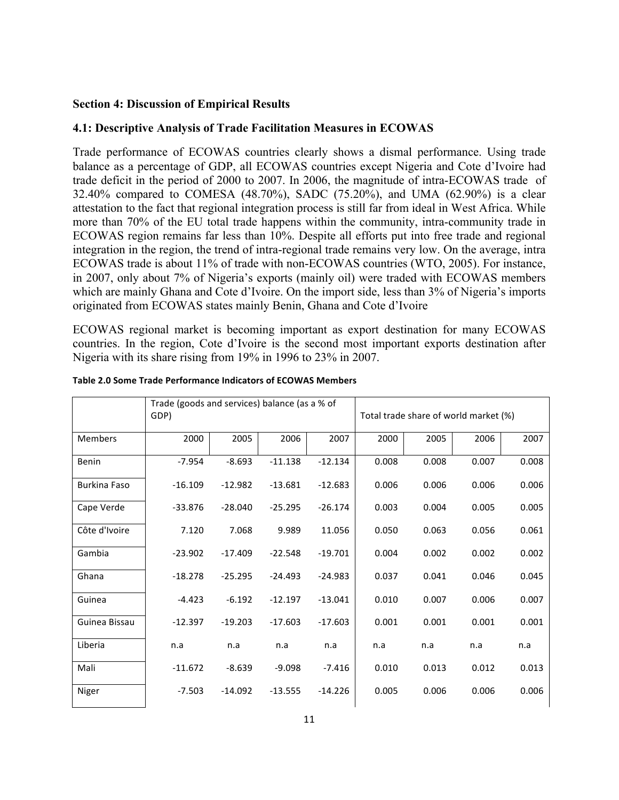## **Section 4: Discussion of Empirical Results**

## **4.1: Descriptive Analysis of Trade Facilitation Measures in ECOWAS**

Trade performance of ECOWAS countries clearly shows a dismal performance. Using trade balance as a percentage of GDP, all ECOWAS countries except Nigeria and Cote d'Ivoire had trade deficit in the period of 2000 to 2007. In 2006, the magnitude of intra-ECOWAS trade of 32.40% compared to COMESA (48.70%), SADC (75.20%), and UMA (62.90%) is a clear attestation to the fact that regional integration process is still far from ideal in West Africa. While more than 70% of the EU total trade happens within the community, intra-community trade in ECOWAS region remains far less than 10%. Despite all efforts put into free trade and regional integration in the region, the trend of intra-regional trade remains very low. On the average, intra ECOWAS trade is about 11% of trade with non-ECOWAS countries (WTO, 2005). For instance, in 2007, only about 7% of Nigeria's exports (mainly oil) were traded with ECOWAS members which are mainly Ghana and Cote d'Ivoire. On the import side, less than 3% of Nigeria's imports originated from ECOWAS states mainly Benin, Ghana and Cote d'Ivoire

ECOWAS regional market is becoming important as export destination for many ECOWAS countries. In the region, Cote d'Ivoire is the second most important exports destination after Nigeria with its share rising from 19% in 1996 to 23% in 2007.

|                     | Trade (goods and services) balance (as a % of |           |           |           |                                       |       |       |       |
|---------------------|-----------------------------------------------|-----------|-----------|-----------|---------------------------------------|-------|-------|-------|
|                     | GDP)                                          |           |           |           | Total trade share of world market (%) |       |       |       |
| <b>Members</b>      | 2000                                          | 2005      | 2006      | 2007      | 2000                                  | 2005  | 2006  | 2007  |
| Benin               | $-7.954$                                      | $-8.693$  | $-11.138$ | $-12.134$ | 0.008                                 | 0.008 | 0.007 | 0.008 |
| <b>Burkina Faso</b> | $-16.109$                                     | $-12.982$ | $-13.681$ | $-12.683$ | 0.006                                 | 0.006 | 0.006 | 0.006 |
| Cape Verde          | $-33.876$                                     | $-28.040$ | $-25.295$ | $-26.174$ | 0.003                                 | 0.004 | 0.005 | 0.005 |
| Côte d'Ivoire       | 7.120                                         | 7.068     | 9.989     | 11.056    | 0.050                                 | 0.063 | 0.056 | 0.061 |
| Gambia              | $-23.902$                                     | $-17.409$ | $-22.548$ | $-19.701$ | 0.004                                 | 0.002 | 0.002 | 0.002 |
| Ghana               | $-18.278$                                     | $-25.295$ | $-24.493$ | $-24.983$ | 0.037                                 | 0.041 | 0.046 | 0.045 |
| Guinea              | $-4.423$                                      | $-6.192$  | $-12.197$ | $-13.041$ | 0.010                                 | 0.007 | 0.006 | 0.007 |
| Guinea Bissau       | $-12.397$                                     | $-19.203$ | $-17.603$ | $-17.603$ | 0.001                                 | 0.001 | 0.001 | 0.001 |
| Liberia             | n.a                                           | n.a       | n.a       | n.a       | n.a                                   | n.a   | n.a   | n.a   |
| Mali                | $-11.672$                                     | $-8.639$  | $-9.098$  | $-7.416$  | 0.010                                 | 0.013 | 0.012 | 0.013 |
| Niger               | $-7.503$                                      | $-14.092$ | $-13.555$ | $-14.226$ | 0.005                                 | 0.006 | 0.006 | 0.006 |

#### **Table 2.0 Some Trade Performance Indicators of ECOWAS Members**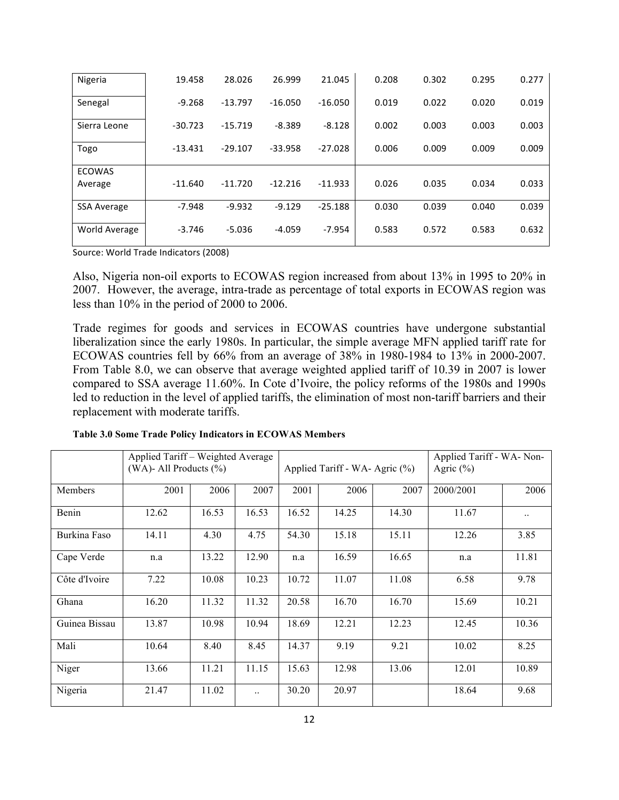| Nigeria                  | 19.458    | 28.026    | 26.999    | 21.045    | 0.208 | 0.302 | 0.295 | 0.277 |
|--------------------------|-----------|-----------|-----------|-----------|-------|-------|-------|-------|
| Senegal                  | $-9.268$  | $-13.797$ | $-16.050$ | $-16.050$ | 0.019 | 0.022 | 0.020 | 0.019 |
| Sierra Leone             | $-30.723$ | $-15.719$ | $-8.389$  | $-8.128$  | 0.002 | 0.003 | 0.003 | 0.003 |
| Togo                     | $-13.431$ | $-29.107$ | $-33.958$ | $-27.028$ | 0.006 | 0.009 | 0.009 | 0.009 |
| <b>ECOWAS</b><br>Average | $-11.640$ | $-11.720$ | $-12.216$ | $-11.933$ | 0.026 | 0.035 | 0.034 | 0.033 |
| <b>SSA Average</b>       | $-7.948$  | $-9.932$  | $-9.129$  | $-25.188$ | 0.030 | 0.039 | 0.040 | 0.039 |
| World Average            | $-3.746$  | $-5.036$  | $-4.059$  | $-7.954$  | 0.583 | 0.572 | 0.583 | 0.632 |

Source: World Trade Indicators (2008)

Also, Nigeria non-oil exports to ECOWAS region increased from about 13% in 1995 to 20% in 2007. However, the average, intra-trade as percentage of total exports in ECOWAS region was less than 10% in the period of 2000 to 2006.

Trade regimes for goods and services in ECOWAS countries have undergone substantial liberalization since the early 1980s. In particular, the simple average MFN applied tariff rate for ECOWAS countries fell by 66% from an average of 38% in 1980-1984 to 13% in 2000-2007. From Table 8.0, we can observe that average weighted applied tariff of 10.39 in 2007 is lower compared to SSA average 11.60%. In Cote d'Ivoire, the policy reforms of the 1980s and 1990s led to reduction in the level of applied tariffs, the elimination of most non-tariff barriers and their replacement with moderate tariffs.

|               | Applied Tariff - Weighted Average<br>(WA)- All Products $(\% )$ |       |       |       | Applied Tariff - WA- Agric (%) | Applied Tariff - WA- Non-<br>Agric $(\% )$ |           |           |
|---------------|-----------------------------------------------------------------|-------|-------|-------|--------------------------------|--------------------------------------------|-----------|-----------|
| Members       | 2001                                                            | 2006  | 2007  | 2001  | 2006                           | 2007                                       | 2000/2001 | 2006      |
| Benin         | 12.62                                                           | 16.53 | 16.53 | 16.52 | 14.25                          | 14.30                                      | 11.67     | $\ddotsc$ |
| Burkina Faso  | 14.11                                                           | 4.30  | 4.75  | 54.30 | 15.18                          | 15.11                                      | 12.26     | 3.85      |
| Cape Verde    | n.a                                                             | 13.22 | 12.90 | n.a   | 16.59                          | 16.65                                      | n.a       | 11.81     |
| Côte d'Ivoire | 7.22                                                            | 10.08 | 10.23 | 10.72 | 11.07                          | 11.08                                      | 6.58      | 9.78      |
| Ghana         | 16.20                                                           | 11.32 | 11.32 | 20.58 | 16.70                          | 16.70                                      | 15.69     | 10.21     |
| Guinea Bissau | 13.87                                                           | 10.98 | 10.94 | 18.69 | 12.21                          | 12.23                                      | 12.45     | 10.36     |
| Mali          | 10.64                                                           | 8.40  | 8.45  | 14.37 | 9.19                           | 9.21                                       | 10.02     | 8.25      |
| Niger         | 13.66                                                           | 11.21 | 11.15 | 15.63 | 12.98                          | 13.06                                      | 12.01     | 10.89     |
| Nigeria       | 21.47                                                           | 11.02 |       | 30.20 | 20.97                          |                                            | 18.64     | 9.68      |

**Table 3.0 Some Trade Policy Indicators in ECOWAS Members**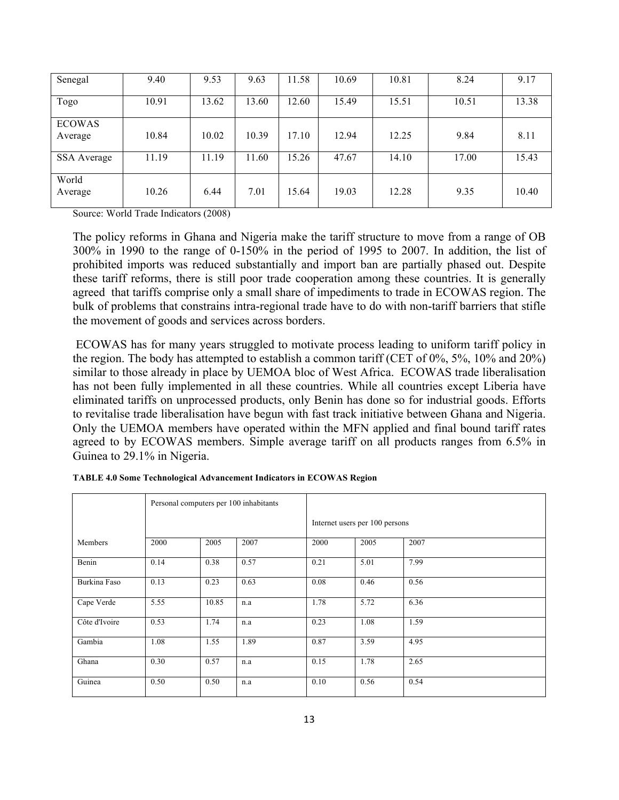| Senegal                  | 9.40  | 9.53  | 9.63  | 11.58 | 10.69 | 10.81 | 8.24  | 9.17  |
|--------------------------|-------|-------|-------|-------|-------|-------|-------|-------|
| Togo                     | 10.91 | 13.62 | 13.60 | 12.60 | 15.49 | 15.51 | 10.51 | 13.38 |
| <b>ECOWAS</b><br>Average | 10.84 | 10.02 | 10.39 | 17.10 | 12.94 | 12.25 | 9.84  | 8.11  |
| <b>SSA</b> Average       | 11.19 | 11.19 | 1.60  | 15.26 | 47.67 | 14.10 | 17.00 | 15.43 |
| World<br>Average         | 10.26 | 6.44  | 7.01  | 15.64 | 19.03 | 12.28 | 9.35  | 10.40 |

Source: World Trade Indicators (2008)

The policy reforms in Ghana and Nigeria make the tariff structure to move from a range of OB 300% in 1990 to the range of 0-150% in the period of 1995 to 2007. In addition, the list of prohibited imports was reduced substantially and import ban are partially phased out. Despite these tariff reforms, there is still poor trade cooperation among these countries. It is generally agreed that tariffs comprise only a small share of impediments to trade in ECOWAS region. The bulk of problems that constrains intra-regional trade have to do with non-tariff barriers that stifle the movement of goods and services across borders.

ECOWAS has for many years struggled to motivate process leading to uniform tariff policy in the region. The body has attempted to establish a common tariff (CET of 0%, 5%, 10% and 20%) similar to those already in place by UEMOA bloc of West Africa. ECOWAS trade liberalisation has not been fully implemented in all these countries. While all countries except Liberia have eliminated tariffs on unprocessed products, only Benin has done so for industrial goods. Efforts to revitalise trade liberalisation have begun with fast track initiative between Ghana and Nigeria. Only the UEMOA members have operated within the MFN applied and final bound tariff rates agreed to by ECOWAS members. Simple average tariff on all products ranges from 6.5% in Guinea to 29.1% in Nigeria.

|               |      |       | Personal computers per 100 inhabitants |      |                                |      |  |  |
|---------------|------|-------|----------------------------------------|------|--------------------------------|------|--|--|
|               |      |       |                                        |      | Internet users per 100 persons |      |  |  |
| Members       | 2000 | 2005  | 2007                                   | 2000 | 2005                           | 2007 |  |  |
| Benin         | 0.14 | 0.38  | 0.57                                   | 0.21 | 5.01                           | 7.99 |  |  |
| Burkina Faso  | 0.13 | 0.23  | 0.63                                   | 0.08 | 0.46                           | 0.56 |  |  |
| Cape Verde    | 5.55 | 10.85 | n.a                                    | 1.78 | 5.72                           | 6.36 |  |  |
| Côte d'Ivoire | 0.53 | 1.74  | n.a                                    | 0.23 | 1.08                           | 1.59 |  |  |
| Gambia        | 1.08 | 1.55  | 1.89                                   | 0.87 | 3.59                           | 4.95 |  |  |
| Ghana         | 0.30 | 0.57  | n.a                                    | 0.15 | 1.78                           | 2.65 |  |  |
| Guinea        | 0.50 | 0.50  | n.a                                    | 0.10 | 0.56                           | 0.54 |  |  |

**TABLE 4.0 Some Technological Advancement Indicators in ECOWAS Region**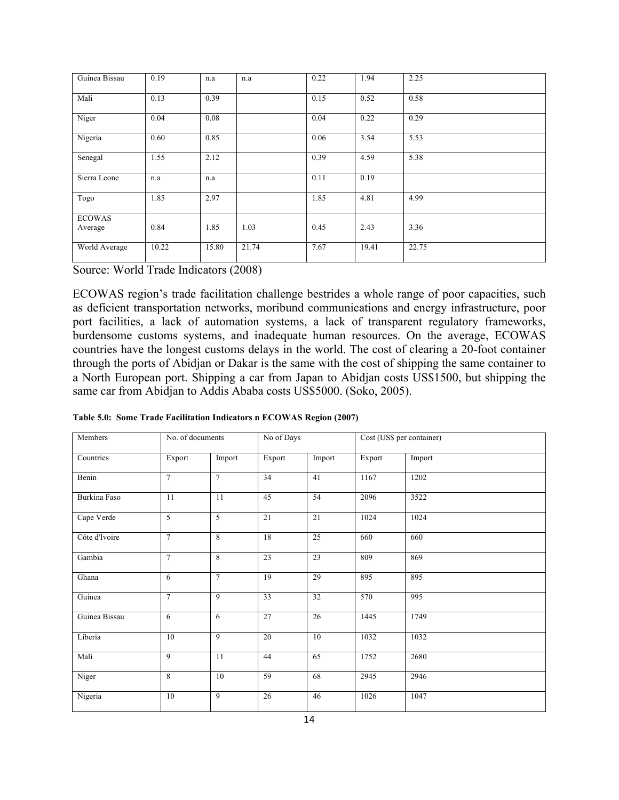| Guinea Bissau            | 0.19  | n.a   | n.a   | 0.22 | 1.94  | 2.25  |
|--------------------------|-------|-------|-------|------|-------|-------|
| Mali                     | 0.13  | 0.39  |       | 0.15 | 0.52  | 0.58  |
| Niger                    | 0.04  | 0.08  |       | 0.04 | 0.22  | 0.29  |
| Nigeria                  | 0.60  | 0.85  |       | 0.06 | 3.54  | 5.53  |
| Senegal                  | 1.55  | 2.12  |       | 0.39 | 4.59  | 5.38  |
| Sierra Leone             | n.a   | n.a   |       | 0.11 | 0.19  |       |
| Togo                     | 1.85  | 2.97  |       | 1.85 | 4.81  | 4.99  |
| <b>ECOWAS</b><br>Average | 0.84  | 1.85  | 1.03  | 0.45 | 2.43  | 3.36  |
| World Average            | 10.22 | 15.80 | 21.74 | 7.67 | 19.41 | 22.75 |

Source: World Trade Indicators (2008)

ECOWAS region's trade facilitation challenge bestrides a whole range of poor capacities, such as deficient transportation networks, moribund communications and energy infrastructure, poor port facilities, a lack of automation systems, a lack of transparent regulatory frameworks, burdensome customs systems, and inadequate human resources. On the average, ECOWAS countries have the longest customs delays in the world. The cost of clearing a 20-foot container through the ports of Abidjan or Dakar is the same with the cost of shipping the same container to a North European port. Shipping a car from Japan to Abidjan costs US\$1500, but shipping the same car from Abidjan to Addis Ababa costs US\$5000. (Soko, 2005).

| Members       | No. of documents |                | No of Days      |                 |        | Cost (US\$ per container) |
|---------------|------------------|----------------|-----------------|-----------------|--------|---------------------------|
| Countries     | Export           | Import         | Export          | Import          | Export | Import                    |
| Benin         | $\overline{7}$   | $\overline{7}$ | 34              | 41              | 1167   | 1202                      |
| Burkina Faso  | 11               | 11             | 45              | 54              | 2096   | 3522                      |
| Cape Verde    | 5                | 5              | 21              | 21              | 1024   | 1024                      |
| Côte d'Ivoire | $\overline{7}$   | 8              | 18              | 25              | 660    | 660                       |
| Gambia        | $\tau$           | 8              | 23              | $\overline{23}$ | 809    | 869                       |
| Ghana         | 6                | $\overline{7}$ | $\overline{19}$ | 29              | 895    | 895                       |
| Guinea        | $\overline{7}$   | $\overline{9}$ | 33              | $\overline{32}$ | 570    | 995                       |
| Guinea Bissau | 6                | 6              | 27              | 26              | 1445   | 1749                      |
| Liberia       | 10               | 9              | 20              | 10              | 1032   | 1032                      |
| Mali          | 9                | 11             | 44              | 65              | 1752   | 2680                      |
| Niger         | 8                | 10             | 59              | 68              | 2945   | 2946                      |
| Nigeria       | 10               | 9              | 26              | 46              | 1026   | 1047                      |

**Table 5.0: Some Trade Facilitation Indicators n ECOWAS Region (2007)**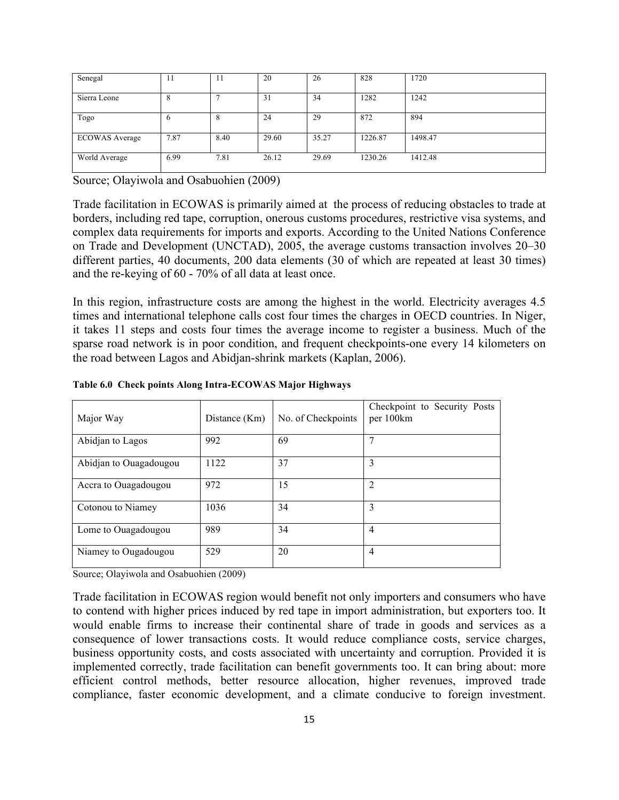| Senegal               | -14  | $\mathbf{H}$ | 20    | 26    | 828     | 1720    |
|-----------------------|------|--------------|-------|-------|---------|---------|
|                       |      |              |       |       |         |         |
|                       |      |              |       |       |         |         |
| Sierra Leone          | 8    |              | 31    | 34    | 1282    | 1242    |
|                       |      |              |       |       |         |         |
| Togo                  | O    | 8            | 24    | 29    | 872     | 894     |
|                       |      |              |       |       |         |         |
|                       |      |              |       |       |         |         |
| <b>ECOWAS</b> Average | 7.87 | 8.40         | 29.60 | 35.27 | 1226.87 | 1498.47 |
|                       |      |              |       |       |         |         |
|                       |      |              |       |       |         |         |
| World Average         | 6.99 | 7.81         | 26.12 | 29.69 | 1230.26 | 1412.48 |
|                       |      |              |       |       |         |         |
|                       |      |              |       |       |         |         |

Source; Olayiwola and Osabuohien (2009)

Trade facilitation in ECOWAS is primarily aimed at the process of reducing obstacles to trade at borders, including red tape, corruption, onerous customs procedures, restrictive visa systems, and complex data requirements for imports and exports. According to the United Nations Conference on Trade and Development (UNCTAD), 2005, the average customs transaction involves 20–30 different parties, 40 documents, 200 data elements (30 of which are repeated at least 30 times) and the re-keying of 60 - 70% of all data at least once.

In this region, infrastructure costs are among the highest in the world. Electricity averages 4.5 times and international telephone calls cost four times the charges in OECD countries. In Niger, it takes 11 steps and costs four times the average income to register a business. Much of the sparse road network is in poor condition, and frequent checkpoints-one every 14 kilometers on the road between Lagos and Abidjan-shrink markets (Kaplan, 2006).

| Major Way              | Distance (Km) | No. of Checkpoints | Checkpoint to Security Posts<br>per 100km |
|------------------------|---------------|--------------------|-------------------------------------------|
| Abidjan to Lagos       | 992           | 69                 | 7                                         |
| Abidjan to Ouagadougou | 1122          | 37                 | 3                                         |
| Accra to Ouagadougou   | 972           | 15                 | 2                                         |
| Cotonou to Niamey      | 1036          | 34                 | 3                                         |
| Lome to Ouagadougou    | 989           | 34                 | $\overline{4}$                            |
| Niamey to Ougadougou   | 529           | 20                 | $\overline{4}$                            |

**Table 6.0 Check points Along Intra-ECOWAS Major Highways**

Source; Olayiwola and Osabuohien (2009)

Trade facilitation in ECOWAS region would benefit not only importers and consumers who have to contend with higher prices induced by red tape in import administration, but exporters too. It would enable firms to increase their continental share of trade in goods and services as a consequence of lower transactions costs. It would reduce compliance costs, service charges, business opportunity costs, and costs associated with uncertainty and corruption. Provided it is implemented correctly, trade facilitation can benefit governments too. It can bring about: more efficient control methods, better resource allocation, higher revenues, improved trade compliance, faster economic development, and a climate conducive to foreign investment.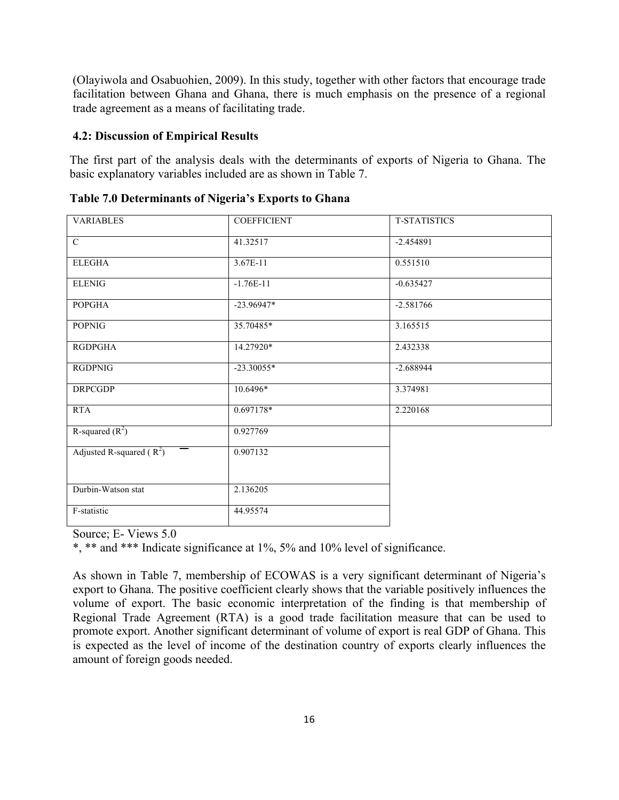(Olayiwola and Osabuohien, 2009). In this study, together with other factors that encourage trade facilitation between Ghana and Ghana, there is much emphasis on the presence of a regional trade agreement as a means of facilitating trade.

## **4.2: Discussion of Empirical Results**

The first part of the analysis deals with the determinants of exports of Nigeria to Ghana. The basic explanatory variables included are as shown in Table 7.

| <b>VARIABLES</b>           | <b>COEFFICIENT</b> | <b>T-STATISTICS</b> |  |
|----------------------------|--------------------|---------------------|--|
|                            |                    |                     |  |
| $\overline{C}$             | 41.32517           | $-2.454891$         |  |
|                            |                    |                     |  |
| <b>ELEGHA</b>              | 3.67E-11           | 0.551510            |  |
|                            |                    |                     |  |
| <b>ELENIG</b>              | $-1.76E-11$        | $-0.635427$         |  |
| <b>POPGHA</b>              | $-23.96947*$       | $-2.581766$         |  |
|                            |                    |                     |  |
| <b>POPNIG</b>              | 35.70485*          | 3.165515            |  |
|                            |                    |                     |  |
| RGDPGHA                    | 14.27920*          | 2.432338            |  |
| <b>RGDPNIG</b>             | $-23.30055*$       | $-2.688944$         |  |
|                            |                    |                     |  |
| <b>DRPCGDP</b>             | 10.6496*           | 3.374981            |  |
|                            |                    |                     |  |
| <b>RTA</b>                 | $0.697178*$        | 2.220168            |  |
|                            |                    |                     |  |
| R-squared $(R^2)$          | 0.927769           |                     |  |
|                            | 0.907132           |                     |  |
| Adjusted R-squared $(R^2)$ |                    |                     |  |
|                            |                    |                     |  |
|                            |                    |                     |  |
| Durbin-Watson stat         | 2.136205           |                     |  |
|                            |                    |                     |  |
| F-statistic                | 44.95574           |                     |  |

**Table 7.0 Determinants of Nigeria's Exports to Ghana**

Source; E- Views 5.0

\*, \*\* and \*\*\* Indicate significance at 1%, 5% and 10% level of significance.

As shown in Table 7, membership of ECOWAS is a very significant determinant of Nigeria's export to Ghana. The positive coefficient clearly shows that the variable positively influences the volume of export. The basic economic interpretation of the finding is that membership of Regional Trade Agreement (RTA) is a good trade facilitation measure that can be used to promote export. Another significant determinant of volume of export is real GDP of Ghana. This is expected as the level of income of the destination country of exports clearly influences the amount of foreign goods needed.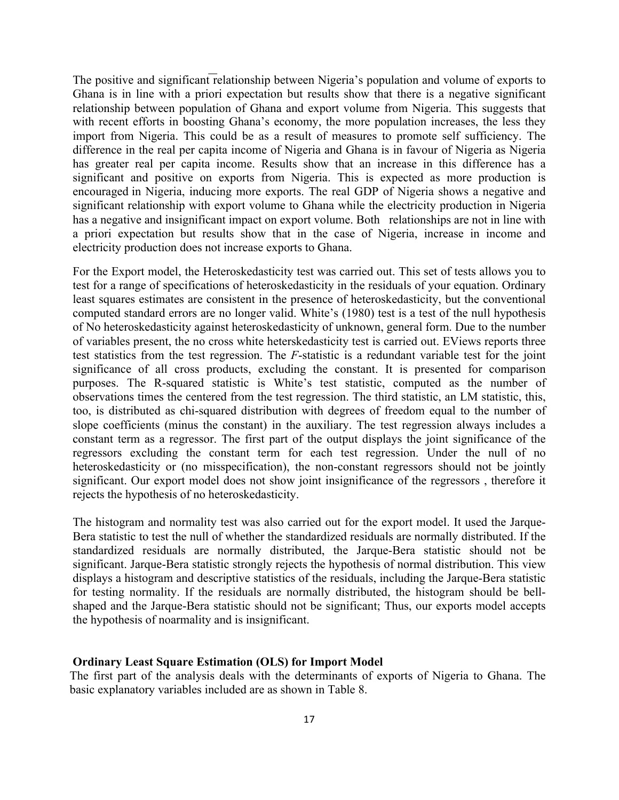The positive and significant relationship between Nigeria's population and volume of exports to Ghana is in line with a priori expectation but results show that there is a negative significant relationship between population of Ghana and export volume from Nigeria. This suggests that with recent efforts in boosting Ghana's economy, the more population increases, the less they import from Nigeria. This could be as a result of measures to promote self sufficiency. The difference in the real per capita income of Nigeria and Ghana is in favour of Nigeria as Nigeria has greater real per capita income. Results show that an increase in this difference has a significant and positive on exports from Nigeria. This is expected as more production is encouraged in Nigeria, inducing more exports. The real GDP of Nigeria shows a negative and significant relationship with export volume to Ghana while the electricity production in Nigeria has a negative and insignificant impact on export volume. Both relationships are not in line with a priori expectation but results show that in the case of Nigeria, increase in income and electricity production does not increase exports to Ghana.

For the Export model, the Heteroskedasticity test was carried out. This set of tests allows you to test for a range of specifications of heteroskedasticity in the residuals of your equation. Ordinary least squares estimates are consistent in the presence of heteroskedasticity, but the conventional computed standard errors are no longer valid. White's (1980) test is a test of the null hypothesis of No heteroskedasticity against heteroskedasticity of unknown, general form. Due to the number of variables present, the no cross white heterskedasticity test is carried out. EViews reports three test statistics from the test regression. The *F*-statistic is a redundant variable test for the joint significance of all cross products, excluding the constant. It is presented for comparison purposes. The R-squared statistic is White's test statistic, computed as the number of observations times the centered from the test regression. The third statistic, an LM statistic, this, too, is distributed as chi-squared distribution with degrees of freedom equal to the number of slope coefficients (minus the constant) in the auxiliary. The test regression always includes a constant term as a regressor. The first part of the output displays the joint significance of the regressors excluding the constant term for each test regression. Under the null of no heteroskedasticity or (no misspecification), the non-constant regressors should not be jointly significant. Our export model does not show joint insignificance of the regressors , therefore it rejects the hypothesis of no heteroskedasticity.

The histogram and normality test was also carried out for the export model. It used the Jarque-Bera statistic to test the null of whether the standardized residuals are normally distributed. If the standardized residuals are normally distributed, the Jarque-Bera statistic should not be significant. Jarque-Bera statistic strongly rejects the hypothesis of normal distribution. This view displays a histogram and descriptive statistics of the residuals, including the Jarque-Bera statistic for testing normality. If the residuals are normally distributed, the histogram should be bellshaped and the Jarque-Bera statistic should not be significant; Thus, our exports model accepts the hypothesis of noarmality and is insignificant.

## **Ordinary Least Square Estimation (OLS) for Import Model**

The first part of the analysis deals with the determinants of exports of Nigeria to Ghana. The basic explanatory variables included are as shown in Table 8.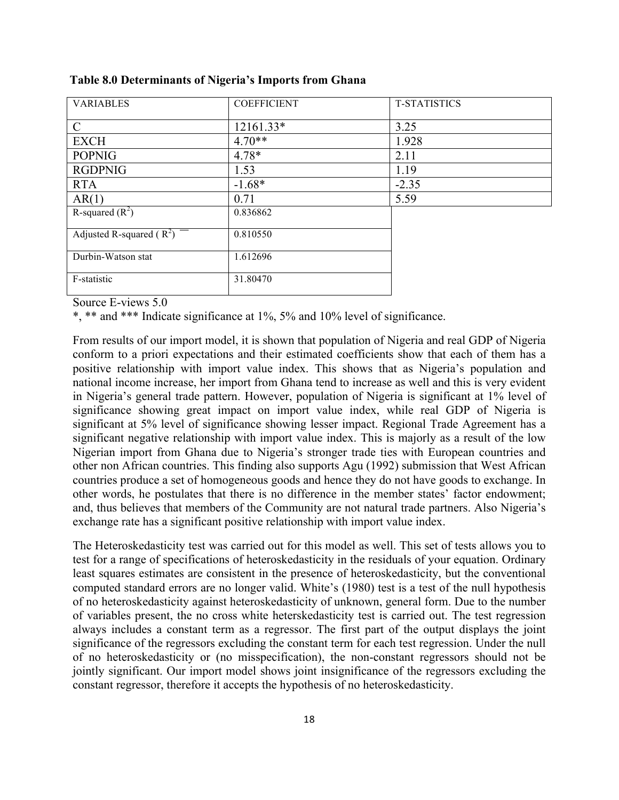| <b>VARIABLES</b>           | <b>COEFFICIENT</b> | <b>T-STATISTICS</b> |
|----------------------------|--------------------|---------------------|
| $\mathcal{C}$              | 12161.33*          | 3.25                |
| <b>EXCH</b>                | $4.70**$           | 1.928               |
| <b>POPNIG</b>              | $4.78*$            | 2.11                |
| <b>RGDPNIG</b>             | 1.53               | 1.19                |
| <b>RTA</b>                 | $-1.68*$           | $-2.35$             |
| AR(1)                      | 0.71               | 5.59                |
| R-squared $(R^2)$          | 0.836862           |                     |
| Adjusted R-squared $(R^2)$ | 0.810550           |                     |
| Durbin-Watson stat         | 1.612696           |                     |
| F-statistic                | 31.80470           |                     |

**Table 8.0 Determinants of Nigeria's Imports from Ghana**

Source E-views 5.0

\*, \*\* and \*\*\* Indicate significance at 1%, 5% and 10% level of significance.

From results of our import model, it is shown that population of Nigeria and real GDP of Nigeria conform to a priori expectations and their estimated coefficients show that each of them has a positive relationship with import value index. This shows that as Nigeria's population and national income increase, her import from Ghana tend to increase as well and this is very evident in Nigeria's general trade pattern. However, population of Nigeria is significant at 1% level of significance showing great impact on import value index, while real GDP of Nigeria is significant at 5% level of significance showing lesser impact. Regional Trade Agreement has a significant negative relationship with import value index. This is majorly as a result of the low Nigerian import from Ghana due to Nigeria's stronger trade ties with European countries and other non African countries. This finding also supports Agu (1992) submission that West African countries produce a set of homogeneous goods and hence they do not have goods to exchange. In other words, he postulates that there is no difference in the member states' factor endowment; and, thus believes that members of the Community are not natural trade partners. Also Nigeria's exchange rate has a significant positive relationship with import value index.

The Heteroskedasticity test was carried out for this model as well. This set of tests allows you to test for a range of specifications of heteroskedasticity in the residuals of your equation. Ordinary least squares estimates are consistent in the presence of heteroskedasticity, but the conventional computed standard errors are no longer valid. White's (1980) test is a test of the null hypothesis of no heteroskedasticity against heteroskedasticity of unknown, general form. Due to the number of variables present, the no cross white heterskedasticity test is carried out. The test regression always includes a constant term as a regressor. The first part of the output displays the joint significance of the regressors excluding the constant term for each test regression. Under the null of no heteroskedasticity or (no misspecification), the non-constant regressors should not be jointly significant. Our import model shows joint insignificance of the regressors excluding the constant regressor, therefore it accepts the hypothesis of no heteroskedasticity.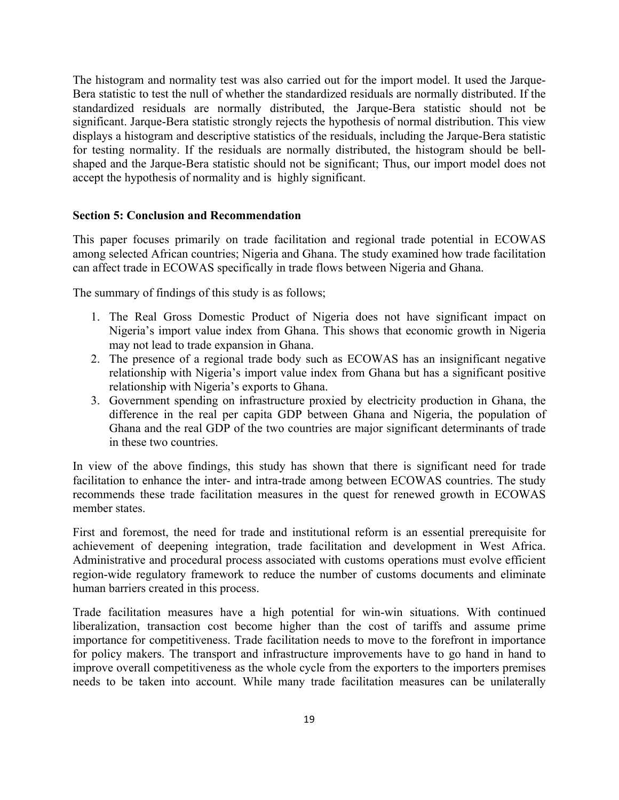The histogram and normality test was also carried out for the import model. It used the Jarque-Bera statistic to test the null of whether the standardized residuals are normally distributed. If the standardized residuals are normally distributed, the Jarque-Bera statistic should not be significant. Jarque-Bera statistic strongly rejects the hypothesis of normal distribution. This view displays a histogram and descriptive statistics of the residuals, including the Jarque-Bera statistic for testing normality. If the residuals are normally distributed, the histogram should be bellshaped and the Jarque-Bera statistic should not be significant; Thus, our import model does not accept the hypothesis of normality and is highly significant.

### **Section 5: Conclusion and Recommendation**

This paper focuses primarily on trade facilitation and regional trade potential in ECOWAS among selected African countries; Nigeria and Ghana. The study examined how trade facilitation can affect trade in ECOWAS specifically in trade flows between Nigeria and Ghana.

The summary of findings of this study is as follows;

- 1. The Real Gross Domestic Product of Nigeria does not have significant impact on Nigeria's import value index from Ghana. This shows that economic growth in Nigeria may not lead to trade expansion in Ghana.
- 2. The presence of a regional trade body such as ECOWAS has an insignificant negative relationship with Nigeria's import value index from Ghana but has a significant positive relationship with Nigeria's exports to Ghana.
- 3. Government spending on infrastructure proxied by electricity production in Ghana, the difference in the real per capita GDP between Ghana and Nigeria, the population of Ghana and the real GDP of the two countries are major significant determinants of trade in these two countries.

In view of the above findings, this study has shown that there is significant need for trade facilitation to enhance the inter- and intra-trade among between ECOWAS countries. The study recommends these trade facilitation measures in the quest for renewed growth in ECOWAS member states.

First and foremost, the need for trade and institutional reform is an essential prerequisite for achievement of deepening integration, trade facilitation and development in West Africa. Administrative and procedural process associated with customs operations must evolve efficient region-wide regulatory framework to reduce the number of customs documents and eliminate human barriers created in this process.

Trade facilitation measures have a high potential for win-win situations. With continued liberalization, transaction cost become higher than the cost of tariffs and assume prime importance for competitiveness. Trade facilitation needs to move to the forefront in importance for policy makers. The transport and infrastructure improvements have to go hand in hand to improve overall competitiveness as the whole cycle from the exporters to the importers premises needs to be taken into account. While many trade facilitation measures can be unilaterally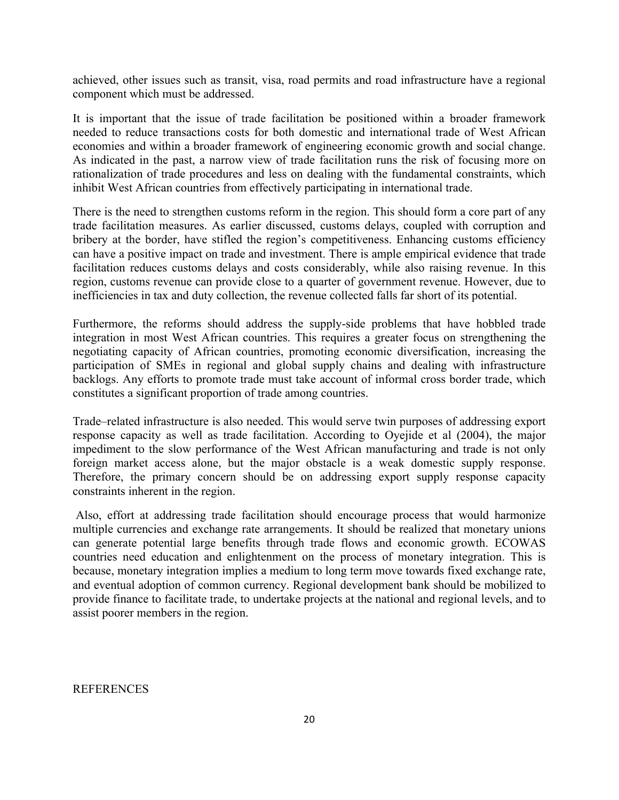achieved, other issues such as transit, visa, road permits and road infrastructure have a regional component which must be addressed.

It is important that the issue of trade facilitation be positioned within a broader framework needed to reduce transactions costs for both domestic and international trade of West African economies and within a broader framework of engineering economic growth and social change. As indicated in the past, a narrow view of trade facilitation runs the risk of focusing more on rationalization of trade procedures and less on dealing with the fundamental constraints, which inhibit West African countries from effectively participating in international trade.

There is the need to strengthen customs reform in the region. This should form a core part of any trade facilitation measures. As earlier discussed, customs delays, coupled with corruption and bribery at the border, have stifled the region's competitiveness. Enhancing customs efficiency can have a positive impact on trade and investment. There is ample empirical evidence that trade facilitation reduces customs delays and costs considerably, while also raising revenue. In this region, customs revenue can provide close to a quarter of government revenue. However, due to inefficiencies in tax and duty collection, the revenue collected falls far short of its potential.

Furthermore, the reforms should address the supply-side problems that have hobbled trade integration in most West African countries. This requires a greater focus on strengthening the negotiating capacity of African countries, promoting economic diversification, increasing the participation of SMEs in regional and global supply chains and dealing with infrastructure backlogs. Any efforts to promote trade must take account of informal cross border trade, which constitutes a significant proportion of trade among countries.

Trade–related infrastructure is also needed. This would serve twin purposes of addressing export response capacity as well as trade facilitation. According to Oyejide et al (2004), the major impediment to the slow performance of the West African manufacturing and trade is not only foreign market access alone, but the major obstacle is a weak domestic supply response. Therefore, the primary concern should be on addressing export supply response capacity constraints inherent in the region.

Also, effort at addressing trade facilitation should encourage process that would harmonize multiple currencies and exchange rate arrangements. It should be realized that monetary unions can generate potential large benefits through trade flows and economic growth. ECOWAS countries need education and enlightenment on the process of monetary integration. This is because, monetary integration implies a medium to long term move towards fixed exchange rate, and eventual adoption of common currency. Regional development bank should be mobilized to provide finance to facilitate trade, to undertake projects at the national and regional levels, and to assist poorer members in the region.

REFERENCES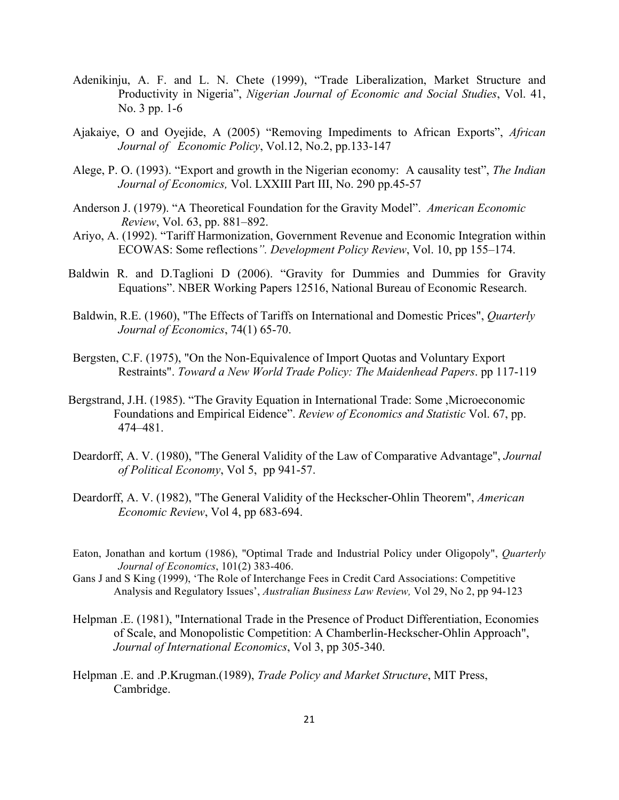- Adenikinju, A. F. and L. N. Chete (1999), "Trade Liberalization, Market Structure and Productivity in Nigeria", *Nigerian Journal of Economic and Social Studies*, Vol. 41, No. 3 pp. 1-6
- Ajakaiye, O and Oyejide, A (2005) "Removing Impediments to African Exports", *African Journal of Economic Policy*, Vol.12, No.2, pp.133-147
- Alege, P. O. (1993). "Export and growth in the Nigerian economy: A causality test", *The Indian Journal of Economics,* Vol. LXXIII Part III, No. 290 pp.45-57
- Anderson J. (1979). "A Theoretical Foundation for the Gravity Model". *American Economic Review*, Vol. 63, pp. 881–892.
- Ariyo, A. (1992). "Tariff Harmonization, Government Revenue and Economic Integration within ECOWAS: Some reflections*". Development Policy Review*, Vol. 10, pp 155–174.
- Baldwin R. and D.Taglioni D (2006). "Gravity for Dummies and Dummies for Gravity Equations". NBER Working Papers 12516, National Bureau of Economic Research.
- Baldwin, R.E. (1960), "The Effects of Tariffs on International and Domestic Prices", *Quarterly Journal of Economics*, 74(1) 65-70.
- Bergsten, C.F. (1975), "On the Non-Equivalence of Import Quotas and Voluntary Export Restraints". *Toward a New World Trade Policy: The Maidenhead Papers*. pp 117-119
- Bergstrand, J.H. (1985). "The Gravity Equation in International Trade: Some ,Microeconomic Foundations and Empirical Eidence". *Review of Economics and Statistic* Vol. 67, pp. 474–481.
- Deardorff, A. V. (1980), "The General Validity of the Law of Comparative Advantage", *Journal of Political Economy*, Vol 5, pp 941-57.
- Deardorff, A. V. (1982), "The General Validity of the Heckscher-Ohlin Theorem", *American Economic Review*, Vol 4, pp 683-694.
- Eaton, Jonathan and kortum (1986), "Optimal Trade and Industrial Policy under Oligopoly", *Quarterly Journal of Economics*, 101(2) 383-406.
- Gans J and S King (1999), 'The Role of Interchange Fees in Credit Card Associations: Competitive Analysis and Regulatory Issues', *Australian Business Law Review,* Vol 29, No 2, pp 94-123
- Helpman .E. (1981), "International Trade in the Presence of Product Differentiation, Economies of Scale, and Monopolistic Competition: A Chamberlin-Heckscher-Ohlin Approach", *Journal of International Economics*, Vol 3, pp 305-340.
- Helpman .E. and .P.Krugman.(1989), *Trade Policy and Market Structure*, MIT Press, Cambridge.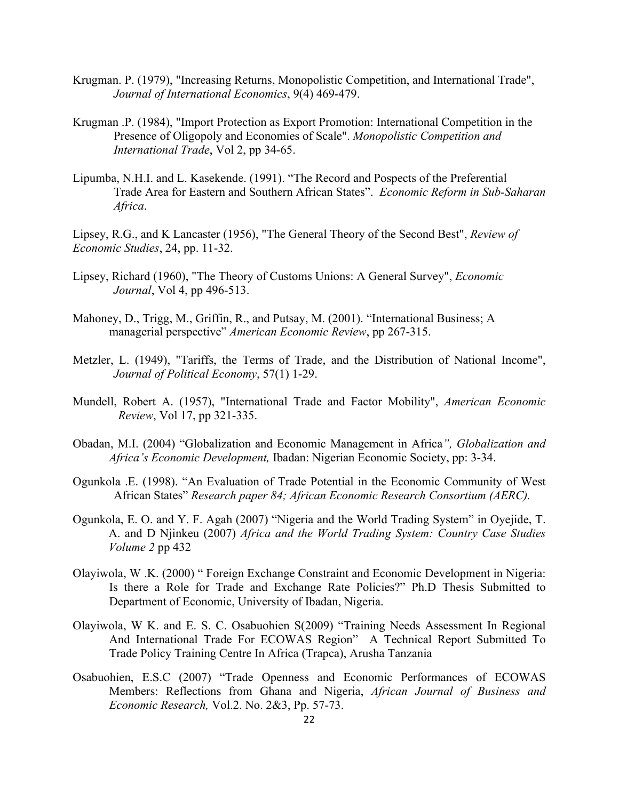- Krugman. P. (1979), "Increasing Returns, Monopolistic Competition, and International Trade", *Journal of International Economics*, 9(4) 469-479.
- Krugman .P. (1984), "Import Protection as Export Promotion: International Competition in the Presence of Oligopoly and Economies of Scale". *Monopolistic Competition and International Trade*, Vol 2, pp 34-65.
- Lipumba, N.H.I. and L. Kasekende. (1991). "The Record and Pospects of the Preferential Trade Area for Eastern and Southern African States". *Economic Reform in Sub-Saharan Africa*.

Lipsey, R.G., and K Lancaster (1956), "The General Theory of the Second Best", *Review of Economic Studies*, 24, pp. 11-32.

- Lipsey, Richard (1960), "The Theory of Customs Unions: A General Survey", *Economic Journal*, Vol 4, pp 496-513.
- Mahoney, D., Trigg, M., Griffin, R., and Putsay, M. (2001). "International Business; A managerial perspective" *American Economic Review*, pp 267-315.
- Metzler, L. (1949), "Tariffs, the Terms of Trade, and the Distribution of National Income", *Journal of Political Economy*, 57(1) 1-29.
- Mundell, Robert A. (1957), "International Trade and Factor Mobility", *American Economic Review*, Vol 17, pp 321-335.
- Obadan, M.I. (2004) "Globalization and Economic Management in Africa*", Globalization and Africa's Economic Development,* Ibadan: Nigerian Economic Society, pp: 3-34.
- Ogunkola .E. (1998). "An Evaluation of Trade Potential in the Economic Community of West African States" *Research paper 84; African Economic Research Consortium (AERC).*
- Ogunkola, E. O. and Y. F. Agah (2007) "Nigeria and the World Trading System" in Oyejide, T. A. and D Njinkeu (2007) *Africa and the World Trading System: Country Case Studies Volume 2* pp 432
- Olayiwola, W .K. (2000) " Foreign Exchange Constraint and Economic Development in Nigeria: Is there a Role for Trade and Exchange Rate Policies?" Ph.D Thesis Submitted to Department of Economic, University of Ibadan, Nigeria.
- Olayiwola, W K. and E. S. C. Osabuohien S(2009) "Training Needs Assessment In Regional And International Trade For ECOWAS Region" A Technical Report Submitted To Trade Policy Training Centre In Africa (Trapca), Arusha Tanzania**!!**
- Osabuohien, E.S.C (2007) "Trade Openness and Economic Performances of ECOWAS Members: Reflections from Ghana and Nigeria, *African Journal of Business and Economic Research,* Vol.2. No. 2&3, Pp. 57-73.